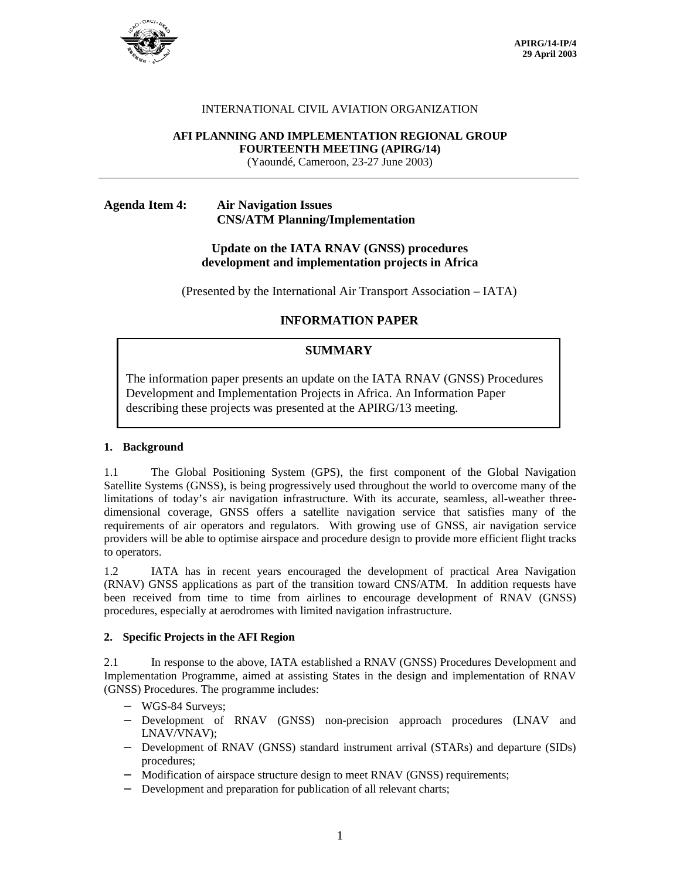

### INTERNATIONAL CIVIL AVIATION ORGANIZATION

#### **AFI PLANNING AND IMPLEMENTATION REGIONAL GROUP FOURTEENTH MEETING (APIRG/14)**

(Yaoundé, Cameroon, 23-27 June 2003)

# **Agenda Item 4: Air Navigation Issues CNS/ATM Planning/Implementation**

### **Update on the IATA RNAV (GNSS) procedures development and implementation projects in Africa**

(Presented by the International Air Transport Association – IATA)

### **INFORMATION PAPER**

## **SUMMARY**

The information paper presents an update on the IATA RNAV (GNSS) Procedures Development and Implementation Projects in Africa. An Information Paper describing these projects was presented at the APIRG/13 meeting.

#### **1. Background**

1.1 The Global Positioning System (GPS), the first component of the Global Navigation Satellite Systems (GNSS), is being progressively used throughout the world to overcome many of the limitations of today's air navigation infrastructure. With its accurate, seamless, all-weather threedimensional coverage, GNSS offers a satellite navigation service that satisfies many of the requirements of air operators and regulators. With growing use of GNSS, air navigation service providers will be able to optimise airspace and procedure design to provide more efficient flight tracks to operators.

1.2 IATA has in recent years encouraged the development of practical Area Navigation (RNAV) GNSS applications as part of the transition toward CNS/ATM. In addition requests have been received from time to time from airlines to encourage development of RNAV (GNSS) procedures, especially at aerodromes with limited navigation infrastructure.

#### **2. Specific Projects in the AFI Region**

2.1 In response to the above, IATA established a RNAV (GNSS) Procedures Development and Implementation Programme, aimed at assisting States in the design and implementation of RNAV (GNSS) Procedures. The programme includes:

- − WGS-84 Surveys;
- − Development of RNAV (GNSS) non-precision approach procedures (LNAV and LNAV/VNAV);
- − Development of RNAV (GNSS) standard instrument arrival (STARs) and departure (SIDs) procedures;
- Modification of airspace structure design to meet RNAV (GNSS) requirements;
- − Development and preparation for publication of all relevant charts;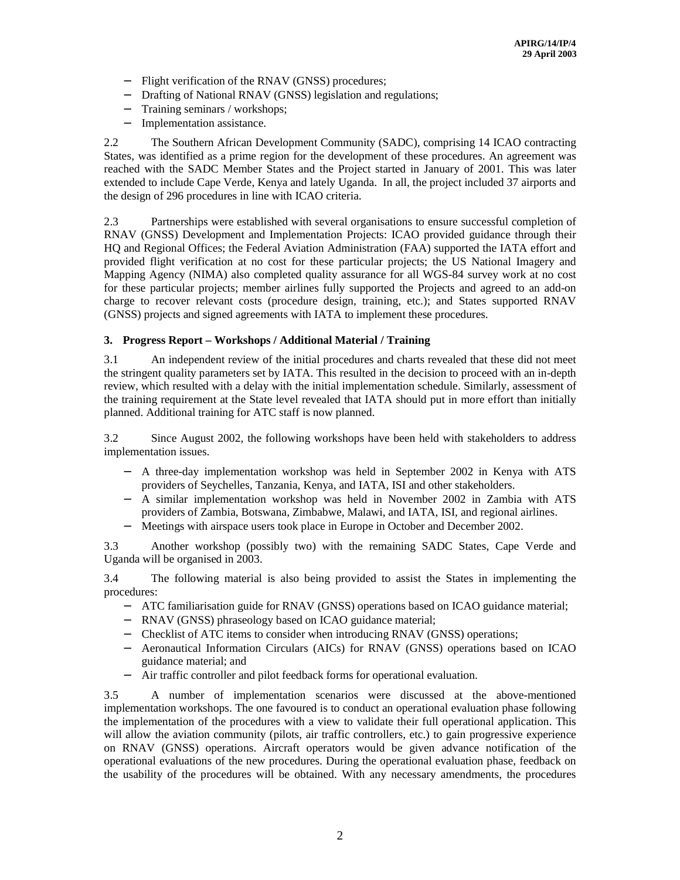- − Flight verification of the RNAV (GNSS) procedures;
- − Drafting of National RNAV (GNSS) legislation and regulations;
- Training seminars / workshops;
- − Implementation assistance.

2.2 The Southern African Development Community (SADC), comprising 14 ICAO contracting States, was identified as a prime region for the development of these procedures. An agreement was reached with the SADC Member States and the Project started in January of 2001. This was later extended to include Cape Verde, Kenya and lately Uganda. In all, the project included 37 airports and the design of 296 procedures in line with ICAO criteria.

2.3 Partnerships were established with several organisations to ensure successful completion of RNAV (GNSS) Development and Implementation Projects: ICAO provided guidance through their HQ and Regional Offices; the Federal Aviation Administration (FAA) supported the IATA effort and provided flight verification at no cost for these particular projects; the US National Imagery and Mapping Agency (NIMA) also completed quality assurance for all WGS-84 survey work at no cost for these particular projects; member airlines fully supported the Projects and agreed to an add-on charge to recover relevant costs (procedure design, training, etc.); and States supported RNAV (GNSS) projects and signed agreements with IATA to implement these procedures.

### **3. Progress Report – Workshops / Additional Material / Training**

3.1 An independent review of the initial procedures and charts revealed that these did not meet the stringent quality parameters set by IATA. This resulted in the decision to proceed with an in-depth review, which resulted with a delay with the initial implementation schedule. Similarly, assessment of the training requirement at the State level revealed that IATA should put in more effort than initially planned. Additional training for ATC staff is now planned.

3.2 Since August 2002, the following workshops have been held with stakeholders to address implementation issues.

- − A three-day implementation workshop was held in September 2002 in Kenya with ATS providers of Seychelles, Tanzania, Kenya, and IATA, ISI and other stakeholders.
- − A similar implementation workshop was held in November 2002 in Zambia with ATS providers of Zambia, Botswana, Zimbabwe, Malawi, and IATA, ISI, and regional airlines.
- − Meetings with airspace users took place in Europe in October and December 2002.

3.3 Another workshop (possibly two) with the remaining SADC States, Cape Verde and Uganda will be organised in 2003.

3.4 The following material is also being provided to assist the States in implementing the procedures:

- − ATC familiarisation guide for RNAV (GNSS) operations based on ICAO guidance material;
- − RNAV (GNSS) phraseology based on ICAO guidance material;
- − Checklist of ATC items to consider when introducing RNAV (GNSS) operations;
- − Aeronautical Information Circulars (AICs) for RNAV (GNSS) operations based on ICAO guidance material; and
- − Air traffic controller and pilot feedback forms for operational evaluation.

3.5 A number of implementation scenarios were discussed at the above-mentioned implementation workshops. The one favoured is to conduct an operational evaluation phase following the implementation of the procedures with a view to validate their full operational application. This will allow the aviation community (pilots, air traffic controllers, etc.) to gain progressive experience on RNAV (GNSS) operations. Aircraft operators would be given advance notification of the operational evaluations of the new procedures. During the operational evaluation phase, feedback on the usability of the procedures will be obtained. With any necessary amendments, the procedures